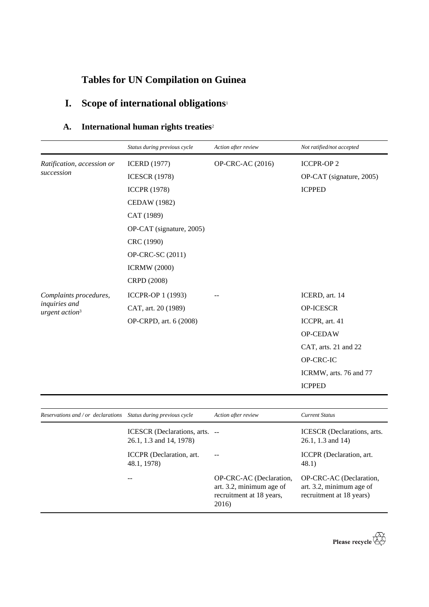# **Tables for UN Compilation on Guinea**

# **I. Scope of international obligations**<sup>1</sup>

## **A. International human rights treaties**<sup>2</sup>

|                                                                  | Status during previous cycle                              | Action after review | Not ratified/not accepted                               |
|------------------------------------------------------------------|-----------------------------------------------------------|---------------------|---------------------------------------------------------|
| Ratification, accession or                                       | <b>ICERD</b> (1977)                                       | OP-CRC-AC (2016)    | <b>ICCPR-OP2</b>                                        |
| succession                                                       | <b>ICESCR (1978)</b>                                      |                     | OP-CAT (signature, 2005)                                |
|                                                                  | <b>ICCPR (1978)</b>                                       |                     | <b>ICPPED</b>                                           |
|                                                                  | <b>CEDAW</b> (1982)                                       |                     |                                                         |
|                                                                  | CAT (1989)                                                |                     |                                                         |
|                                                                  | OP-CAT (signature, 2005)                                  |                     |                                                         |
|                                                                  | CRC (1990)                                                |                     |                                                         |
|                                                                  | OP-CRC-SC (2011)                                          |                     |                                                         |
|                                                                  | <b>ICRMW</b> (2000)                                       |                     |                                                         |
|                                                                  | CRPD (2008)                                               |                     |                                                         |
| Complaints procedures,                                           | ICCPR-OP 1 (1993)                                         |                     | ICERD, art. 14                                          |
| inquiries and<br>urgent action <sup>3</sup>                      | CAT, art. 20 (1989)                                       |                     | OP-ICESCR                                               |
|                                                                  | OP-CRPD, art. 6 (2008)                                    |                     | ICCPR, art. 41                                          |
|                                                                  |                                                           |                     | OP-CEDAW                                                |
|                                                                  |                                                           |                     | CAT, arts. 21 and 22                                    |
|                                                                  |                                                           |                     | OP-CRC-IC                                               |
|                                                                  |                                                           |                     | ICRMW, arts. 76 and 77                                  |
|                                                                  |                                                           |                     | <b>ICPPED</b>                                           |
|                                                                  |                                                           |                     |                                                         |
| Reservations and / or declarations  Status during previous cycle |                                                           | Action after review | <b>Current Status</b>                                   |
|                                                                  | ICESCR (Declarations, arts. --<br>26.1, 1.3 and 14, 1978) |                     | <b>ICESCR</b> (Declarations, arts.<br>26.1, 1.3 and 14) |
|                                                                  | ICCPR (Declaration art)                                   |                     | <b>ICCPR</b> (Declaration art)                          |

| ICCPR (Declaration, art.<br>48.1, 1978) | $-$                                                                                      | ICCPR (Declaration, art.<br>48.1)                                               |
|-----------------------------------------|------------------------------------------------------------------------------------------|---------------------------------------------------------------------------------|
| $- -$                                   | OP-CRC-AC (Declaration,<br>art. 3.2, minimum age of<br>recruitment at 18 years,<br>2016) | OP-CRC-AC (Declaration,<br>art. 3.2, minimum age of<br>recruitment at 18 years) |

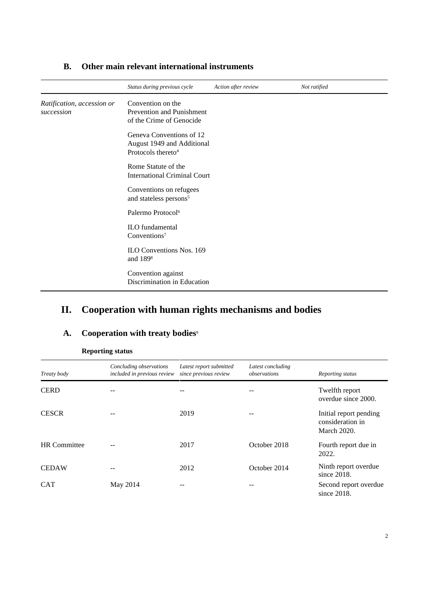|                                          | Status during previous cycle                                                             | Action after review | Not ratified |
|------------------------------------------|------------------------------------------------------------------------------------------|---------------------|--------------|
| Ratification, accession or<br>succession | Convention on the<br>Prevention and Punishment<br>of the Crime of Genocide               |                     |              |
|                                          | Geneva Conventions of 12<br>August 1949 and Additional<br>Protocols thereto <sup>4</sup> |                     |              |
|                                          | Rome Statute of the<br><b>International Criminal Court</b>                               |                     |              |
|                                          | Conventions on refugees<br>and stateless persons <sup>5</sup>                            |                     |              |
|                                          | Palermo Protocol <sup>6</sup>                                                            |                     |              |
|                                          | ILO fundamental<br>Conventions <sup>7</sup>                                              |                     |              |
|                                          | ILO Conventions Nos. 169<br>and 1898                                                     |                     |              |
|                                          | Convention against<br>Discrimination in Education                                        |                     |              |

### **B. Other main relevant international instruments**

# **II. Cooperation with human rights mechanisms and bodies**

## A. Cooperation with treaty bodies<sup>9</sup>

| Treaty body         | Concluding observations<br>included in previous review | Latest report submitted<br>since previous review | Latest concluding<br>observations | Reporting status                                          |
|---------------------|--------------------------------------------------------|--------------------------------------------------|-----------------------------------|-----------------------------------------------------------|
| <b>CERD</b>         |                                                        |                                                  |                                   | Twelfth report<br>overdue since 2000.                     |
| <b>CESCR</b>        |                                                        | 2019                                             | --                                | Initial report pending<br>consideration in<br>March 2020. |
| <b>HR</b> Committee |                                                        | 2017                                             | October 2018                      | Fourth report due in<br>2022.                             |
| <b>CEDAW</b>        |                                                        | 2012                                             | October 2014                      | Ninth report overdue<br>since $2018$ .                    |
| <b>CAT</b>          | May 2014                                               |                                                  |                                   | Second report overdue<br>since $2018$ .                   |

#### **Reporting status**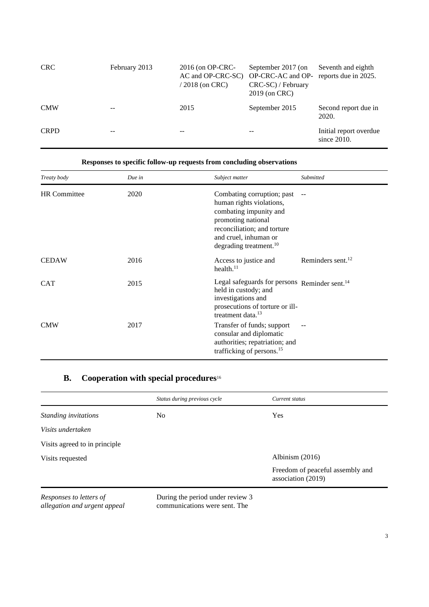| <b>CRC</b>  | February 2013 | 2016 (on OP-CRC-<br>$\sqrt{2018}$ (on CRC) | September 2017 (on<br>AC and OP-CRC-SC) OP-CRC-AC and OP-<br>CRC-SC) / February<br>2019 (on CRC) | Seventh and eighth<br>reports due in 2025. |
|-------------|---------------|--------------------------------------------|--------------------------------------------------------------------------------------------------|--------------------------------------------|
| <b>CMW</b>  | --            | 2015                                       | September 2015                                                                                   | Second report due in<br>2020.              |
| <b>CRPD</b> |               |                                            | --                                                                                               | Initial report overdue<br>since $2010$ .   |

|  | Responses to specific follow-up requests from concluding observations |  |
|--|-----------------------------------------------------------------------|--|
|  |                                                                       |  |

| Treaty body         | Due in | Subject matter                                                                                                                                                                                       | Submitted                     |
|---------------------|--------|------------------------------------------------------------------------------------------------------------------------------------------------------------------------------------------------------|-------------------------------|
| <b>HR</b> Committee | 2020   | Combating corruption; past<br>human rights violations,<br>combating impunity and<br>promoting national<br>reconciliation; and torture<br>and cruel, inhuman or<br>degrading treatment. <sup>10</sup> | $\sim$ $\sim$                 |
| <b>CEDAW</b>        | 2016   | Access to justice and<br>health. $^{11}$                                                                                                                                                             | Reminders sent. <sup>12</sup> |
| <b>CAT</b>          | 2015   | Legal safeguards for persons Reminder sent. <sup>14</sup><br>held in custody; and<br>investigations and<br>prosecutions of torture or ill-<br>treatment data. <sup>13</sup>                          |                               |
| <b>CMW</b>          | 2017   | Transfer of funds; support<br>consular and diplomatic<br>authorities; repatriation; and<br>trafficking of persons. <sup>15</sup>                                                                     | $\overline{\phantom{m}}$      |

## **B. Cooperation with special procedures**<sup>16</sup>

| Status during previous cycle | Current status                                         |
|------------------------------|--------------------------------------------------------|
| N <sub>0</sub>               | <b>Yes</b>                                             |
|                              |                                                        |
|                              |                                                        |
|                              | Albinism $(2016)$                                      |
|                              | Freedom of peaceful assembly and<br>association (2019) |
|                              |                                                        |

*Responses to letters of allegation and urgent appeal* During the period under review 3 communications were sent. The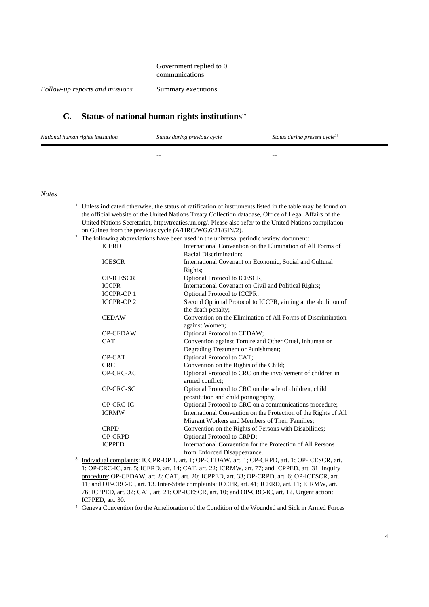#### Government replied to 0 communications

*Follow-up reports and missions* Summary executions

#### **C. Status of national human rights institutions**<sup>17</sup>

| National human rights institution | Status during previous cycle | Status during present cycle <sup>18</sup> |
|-----------------------------------|------------------------------|-------------------------------------------|
|                                   | $- -$                        | $- -$                                     |

*Notes*

- <sup>1</sup> Unless indicated otherwise, the status of ratification of instruments listed in the table may be found on the official website of the United Nations Treaty Collection database, Office of Legal Affairs of the United Nations Secretariat, http://treaties.un.org/. Please also refer to the United Nations compilation on Guinea from the previous cycle (A/HRC/WG.6/21/GIN/2).
- <sup>2</sup> The following abbreviations have been used in the universal periodic review document:

| <b>ICERD</b>     | International Convention on the Elimination of All Forms of     |
|------------------|-----------------------------------------------------------------|
|                  | Racial Discrimination;                                          |
| <b>ICESCR</b>    | International Covenant on Economic, Social and Cultural         |
|                  | Rights;                                                         |
| <b>OP-ICESCR</b> | Optional Protocol to ICESCR;                                    |
| <b>ICCPR</b>     | International Covenant on Civil and Political Rights;           |
| <b>ICCPR-OP1</b> | Optional Protocol to ICCPR;                                     |
| <b>ICCPR-OP2</b> | Second Optional Protocol to ICCPR, aiming at the abolition of   |
|                  | the death penalty;                                              |
| <b>CEDAW</b>     | Convention on the Elimination of All Forms of Discrimination    |
|                  | against Women;                                                  |
| <b>OP-CEDAW</b>  | Optional Protocol to CEDAW;                                     |
| <b>CAT</b>       | Convention against Torture and Other Cruel, Inhuman or          |
|                  | Degrading Treatment or Punishment;                              |
| OP-CAT           | Optional Protocol to CAT;                                       |
| <b>CRC</b>       | Convention on the Rights of the Child;                          |
| OP-CRC-AC        | Optional Protocol to CRC on the involvement of children in      |
|                  | armed conflict:                                                 |
| OP-CRC-SC        | Optional Protocol to CRC on the sale of children, child         |
|                  | prostitution and child pornography;                             |
| OP-CRC-IC        | Optional Protocol to CRC on a communications procedure;         |
| <b>ICRMW</b>     | International Convention on the Protection of the Rights of All |
|                  | Migrant Workers and Members of Their Families;                  |
| <b>CRPD</b>      | Convention on the Rights of Persons with Disabilities;          |
| <b>OP-CRPD</b>   | Optional Protocol to CRPD;                                      |
| <b>ICPPED</b>    | International Convention for the Protection of All Persons      |
|                  | from Enforced Disappearance.                                    |

3 Individual complaints: ICCPR-OP 1, art. 1; OP-CEDAW, art. 1; OP-CRPD, art. 1; OP-ICESCR, art. 1; OP-CRC-IC, art. 5; ICERD, art. 14; CAT, art. 22; ICRMW, art. 77; and ICPPED, art. 31. Inquiry procedure: OP-CEDAW, art. 8; CAT, art. 20; ICPPED, art. 33; OP-CRPD, art. 6; OP-ICESCR, art. 11; and OP-CRC-IC, art. 13. Inter-State complaints: ICCPR, art. 41; ICERD, art. 11; ICRMW, art. 76; ICPPED, art. 32; CAT, art. 21; OP-ICESCR, art. 10; and OP-CRC-IC, art. 12. Urgent action: ICPPED, art. 30.

<sup>4</sup> Geneva Convention for the Amelioration of the Condition of the Wounded and Sick in Armed Forces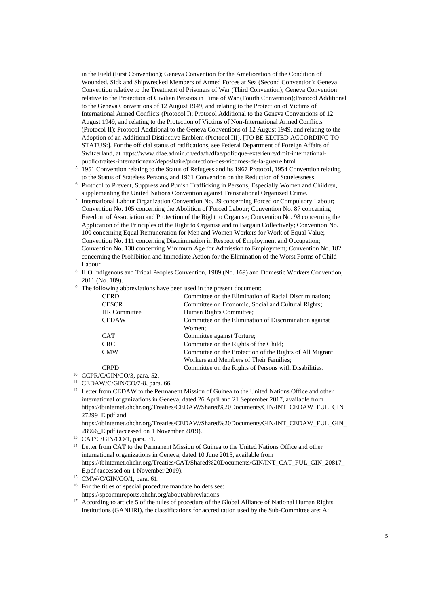in the Field (First Convention); Geneva Convention for the Amelioration of the Condition of Wounded, Sick and Shipwrecked Members of Armed Forces at Sea (Second Convention); Geneva Convention relative to the Treatment of Prisoners of War (Third Convention); Geneva Convention relative to the Protection of Civilian Persons in Time of War (Fourth Convention);Protocol Additional to the Geneva Conventions of 12 August 1949, and relating to the Protection of Victims of International Armed Conflicts (Protocol I); Protocol Additional to the Geneva Conventions of 12 August 1949, and relating to the Protection of Victims of Non-International Armed Conflicts (Protocol II); Protocol Additional to the Geneva Conventions of 12 August 1949, and relating to the Adoption of an Additional Distinctive Emblem (Protocol III). [TO BE EDITED ACCORDING TO STATUS:]. For the official status of ratifications, see Federal Department of Foreign Affairs of Switzerland, at https://www.dfae.admin.ch/eda/fr/dfae/politique-exterieure/droit-internationalpublic/traites-internationaux/depositaire/protection-des-victimes-de-la-guerre.html

- <sup>5</sup> 1951 Convention relating to the Status of Refugees and its 1967 Protocol, 1954 Convention relating to the Status of Stateless Persons, and 1961 Convention on the Reduction of Statelessness.
- <sup>6</sup> Protocol to Prevent, Suppress and Punish Trafficking in Persons, Especially Women and Children, supplementing the United Nations Convention against Transnational Organized Crime.
- 7 International Labour Organization Convention No. 29 concerning Forced or Compulsory Labour; Convention No. 105 concerning the Abolition of Forced Labour; Convention No. 87 concerning Freedom of Association and Protection of the Right to Organise; Convention No. 98 concerning the Application of the Principles of the Right to Organise and to Bargain Collectively; Convention No. 100 concerning Equal Remuneration for Men and Women Workers for Work of Equal Value; Convention No. 111 concerning Discrimination in Respect of Employment and Occupation; Convention No. 138 concerning Minimum Age for Admission to Employment; Convention No. 182 concerning the Prohibition and Immediate Action for the Elimination of the Worst Forms of Child Labour.
- 8 ILO Indigenous and Tribal Peoples Convention, 1989 (No. 169) and Domestic Workers Convention, 2011 (No. 189).
- <sup>9</sup> The following abbreviations have been used in the present document:

| <b>CERD</b>  | Committee on the Elimination of Racial Discrimination;   |
|--------------|----------------------------------------------------------|
| <b>CESCR</b> | Committee on Economic, Social and Cultural Rights;       |
| HR Committee | Human Rights Committee:                                  |
| <b>CEDAW</b> | Committee on the Elimination of Discrimination against   |
|              | Women:                                                   |
| <b>CAT</b>   | Committee against Torture;                               |
| <b>CRC</b>   | Committee on the Rights of the Child:                    |
| <b>CMW</b>   | Committee on the Protection of the Rights of All Migrant |
|              | Workers and Members of Their Families:                   |
| <b>CRPD</b>  | Committee on the Rights of Persons with Disabilities.    |

- <sup>10</sup> CCPR/C/GIN/CO/3, para. 52.
- <sup>11</sup> CEDAW/C/GIN/CO/7-8, para. 66.
- <sup>12</sup> Letter from CEDAW to the Permanent Mission of Guinea to the United Nations Office and other international organizations in Geneva, dated 26 April and 21 September 2017, available from https://tbinternet.ohchr.org/Treaties/CEDAW/Shared%20Documents/GIN/INT\_CEDAW\_FUL\_GIN\_ 27299\_E.pdf and

https://tbinternet.ohchr.org/Treaties/CEDAW/Shared%20Documents/GIN/INT\_CEDAW\_FUL\_GIN\_ 28966\_E.pdf (accessed on 1 November 2019).

<sup>16</sup> For the titles of special procedure mandate holders see: https://spcommreports.ohchr.org/about/abbreviations

<sup>17</sup> According to article 5 of the rules of procedure of the Global Alliance of National Human Rights Institutions (GANHRI), the classifications for accreditation used by the Sub-Committee are: A:

<sup>13</sup> CAT/C/GIN/CO/1, para. 31.

<sup>&</sup>lt;sup>14</sup> Letter from CAT to the Permanent Mission of Guinea to the United Nations Office and other international organizations in Geneva, dated 10 June 2015, available from https://tbinternet.ohchr.org/Treaties/CAT/Shared%20Documents/GIN/INT\_CAT\_FUL\_GIN\_20817\_ E.pdf (accessed on 1 November 2019).

<sup>15</sup> CMW/C/GIN/CO/1, para. 61.